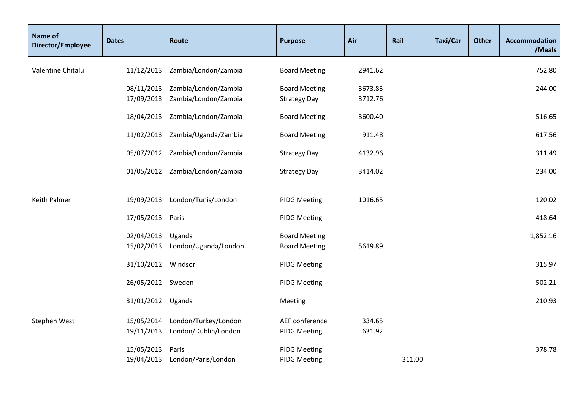| Name of<br>Director/Employee | <b>Dates</b>             | Route                                        | <b>Purpose</b>                               | Air                | Rail   | Taxi/Car | <b>Other</b> | Accommodation<br>/Meals |
|------------------------------|--------------------------|----------------------------------------------|----------------------------------------------|--------------------|--------|----------|--------------|-------------------------|
| Valentine Chitalu            | 11/12/2013               | Zambia/London/Zambia                         | <b>Board Meeting</b>                         | 2941.62            |        |          |              | 752.80                  |
|                              | 08/11/2013<br>17/09/2013 | Zambia/London/Zambia<br>Zambia/London/Zambia | <b>Board Meeting</b><br><b>Strategy Day</b>  | 3673.83<br>3712.76 |        |          |              | 244.00                  |
|                              | 18/04/2013               | Zambia/London/Zambia                         | <b>Board Meeting</b>                         | 3600.40            |        |          |              | 516.65                  |
|                              | 11/02/2013               | Zambia/Uganda/Zambia                         | <b>Board Meeting</b>                         | 911.48             |        |          |              | 617.56                  |
|                              |                          | 05/07/2012 Zambia/London/Zambia              | <b>Strategy Day</b>                          | 4132.96            |        |          |              | 311.49                  |
|                              |                          | 01/05/2012 Zambia/London/Zambia              | <b>Strategy Day</b>                          | 3414.02            |        |          |              | 234.00                  |
| <b>Keith Palmer</b>          | 19/09/2013               | London/Tunis/London                          | <b>PIDG Meeting</b>                          | 1016.65            |        |          |              | 120.02                  |
|                              | 17/05/2013 Paris         |                                              | <b>PIDG Meeting</b>                          |                    |        |          |              | 418.64                  |
|                              | 02/04/2013<br>15/02/2013 | Uganda<br>London/Uganda/London               | <b>Board Meeting</b><br><b>Board Meeting</b> | 5619.89            |        |          |              | 1,852.16                |
|                              | 31/10/2012 Windsor       |                                              | <b>PIDG Meeting</b>                          |                    |        |          |              | 315.97                  |
|                              | 26/05/2012 Sweden        |                                              | <b>PIDG Meeting</b>                          |                    |        |          |              | 502.21                  |
|                              | 31/01/2012 Uganda        |                                              | Meeting                                      |                    |        |          |              | 210.93                  |
| Stephen West                 | 15/05/2014<br>19/11/2013 | London/Turkey/London<br>London/Dublin/London | AEF conference<br><b>PIDG Meeting</b>        | 334.65<br>631.92   |        |          |              |                         |
|                              | 15/05/2013<br>19/04/2013 | Paris<br>London/Paris/London                 | <b>PIDG Meeting</b><br><b>PIDG Meeting</b>   |                    | 311.00 |          |              | 378.78                  |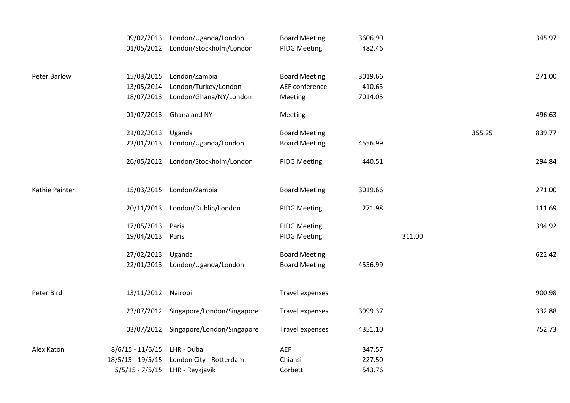|                     | 09/02/2013<br>01/05/2012                                       | London/Uganda/London<br>London/Stockholm/London                 | <b>Board Meeting</b><br><b>PIDG Meeting</b>       | 3606.90<br>482.46            |        |        | 345.97 |
|---------------------|----------------------------------------------------------------|-----------------------------------------------------------------|---------------------------------------------------|------------------------------|--------|--------|--------|
| <b>Peter Barlow</b> | 15/03/2015<br>13/05/2014<br>18/07/2013                         | London/Zambia<br>London/Turkey/London<br>London/Ghana/NY/London | <b>Board Meeting</b><br>AEF conference<br>Meeting | 3019.66<br>410.65<br>7014.05 |        |        | 271.00 |
|                     | 01/07/2013                                                     | Ghana and NY                                                    | Meeting                                           |                              |        |        | 496.63 |
|                     | 21/02/2013<br>22/01/2013                                       | Uganda<br>London/Uganda/London                                  | <b>Board Meeting</b><br><b>Board Meeting</b>      | 4556.99                      |        | 355.25 | 839.77 |
|                     | 26/05/2012                                                     | London/Stockholm/London                                         | <b>PIDG Meeting</b>                               | 440.51                       |        |        | 294.84 |
| Kathie Painter      | 15/03/2015                                                     | London/Zambia                                                   | <b>Board Meeting</b>                              | 3019.66                      |        |        | 271.00 |
|                     | 20/11/2013                                                     | London/Dublin/London                                            | <b>PIDG Meeting</b>                               | 271.98                       |        |        | 111.69 |
|                     | 17/05/2013<br>19/04/2013                                       | Paris<br>Paris                                                  | <b>PIDG Meeting</b><br><b>PIDG Meeting</b>        |                              | 311.00 |        | 394.92 |
|                     | 27/02/2013<br>22/01/2013                                       | Uganda<br>London/Uganda/London                                  | <b>Board Meeting</b><br><b>Board Meeting</b>      | 4556.99                      |        |        | 622.42 |
| Peter Bird          | 13/11/2012 Nairobi                                             |                                                                 | Travel expenses                                   |                              |        |        | 900.98 |
|                     |                                                                | 23/07/2012 Singapore/London/Singapore                           | Travel expenses                                   | 3999.37                      |        |        | 332.88 |
|                     |                                                                | 03/07/2012 Singapore/London/Singapore                           | Travel expenses                                   | 4351.10                      |        |        | 752.73 |
| Alex Katon          | $8/6/15 - 11/6/15$<br>$18/5/15 - 19/5/15$<br>$5/5/15 - 7/5/15$ | LHR - Dubai<br>London City - Rotterdam<br>LHR - Reykjavik       | AEF<br>Chiansi<br>Corbetti                        | 347.57<br>227.50<br>543.76   |        |        |        |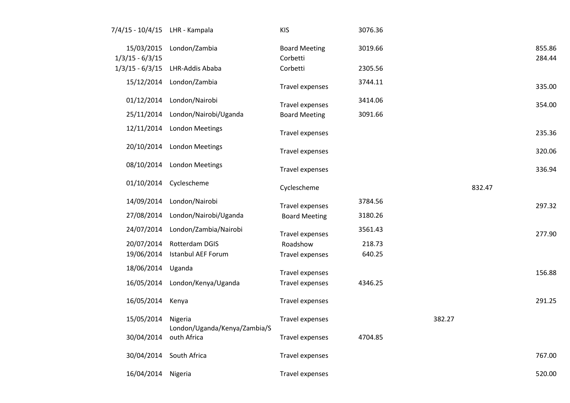| 7/4/15 - 10/4/15 LHR - Kampala  |                                             | <b>KIS</b>                       | 3076.36 |        |                  |
|---------------------------------|---------------------------------------------|----------------------------------|---------|--------|------------------|
| 15/03/2015<br>$1/3/15 - 6/3/15$ | London/Zambia                               | <b>Board Meeting</b><br>Corbetti | 3019.66 |        | 855.86<br>284.44 |
| $1/3/15 - 6/3/15$               | LHR-Addis Ababa                             | Corbetti                         | 2305.56 |        |                  |
| 15/12/2014                      | London/Zambia                               | Travel expenses                  | 3744.11 |        | 335.00           |
| 01/12/2014                      | London/Nairobi                              | Travel expenses                  | 3414.06 |        | 354.00           |
| 25/11/2014                      | London/Nairobi/Uganda                       | <b>Board Meeting</b>             | 3091.66 |        |                  |
| 12/11/2014                      | <b>London Meetings</b>                      | Travel expenses                  |         |        | 235.36           |
| 20/10/2014                      | <b>London Meetings</b>                      | Travel expenses                  |         |        | 320.06           |
| 08/10/2014                      | <b>London Meetings</b>                      | Travel expenses                  |         |        | 336.94           |
| 01/10/2014                      | Cyclescheme                                 | Cyclescheme                      |         | 832.47 |                  |
| 14/09/2014                      | London/Nairobi                              | <b>Travel expenses</b>           | 3784.56 |        | 297.32           |
| 27/08/2014                      | London/Nairobi/Uganda                       | <b>Board Meeting</b>             | 3180.26 |        |                  |
| 24/07/2014                      | London/Zambia/Nairobi                       | <b>Travel expenses</b>           | 3561.43 |        | 277.90           |
| 20/07/2014                      | Rotterdam DGIS                              | Roadshow                         | 218.73  |        |                  |
| 19/06/2014                      | <b>Istanbul AEF Forum</b>                   | Travel expenses                  | 640.25  |        |                  |
| 18/06/2014                      | Uganda                                      | <b>Travel expenses</b>           |         |        | 156.88           |
| 16/05/2014                      | London/Kenya/Uganda                         | Travel expenses                  | 4346.25 |        |                  |
| 16/05/2014                      | Kenya                                       | Travel expenses                  |         |        | 291.25           |
| 15/05/2014                      | Nigeria                                     | Travel expenses                  |         | 382.27 |                  |
| 30/04/2014                      | London/Uganda/Kenya/Zambia/S<br>outh Africa | Travel expenses                  | 4704.85 |        |                  |
| 30/04/2014                      | South Africa                                | Travel expenses                  |         |        | 767.00           |
| 16/04/2014                      | Nigeria                                     | <b>Travel expenses</b>           |         |        | 520.00           |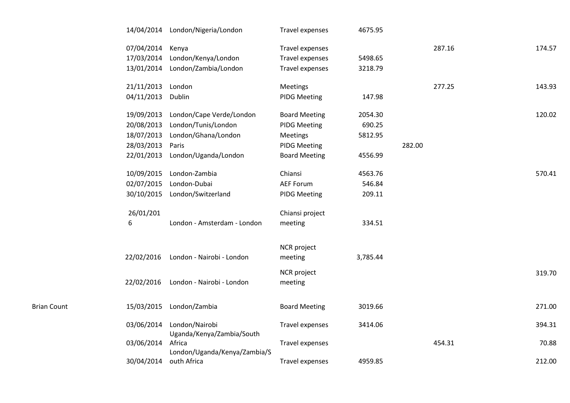|                    |            | 14/04/2014 London/Nigeria/London     | Travel expenses        | 4675.95  |        |        |
|--------------------|------------|--------------------------------------|------------------------|----------|--------|--------|
|                    | 07/04/2014 | Kenya                                | Travel expenses        |          | 287.16 | 174.57 |
|                    | 17/03/2014 | London/Kenya/London                  | Travel expenses        | 5498.65  |        |        |
|                    | 13/01/2014 | London/Zambia/London                 | Travel expenses        | 3218.79  |        |        |
|                    | 21/11/2013 | London                               | <b>Meetings</b>        |          | 277.25 | 143.93 |
|                    | 04/11/2013 | Dublin                               | <b>PIDG Meeting</b>    | 147.98   |        |        |
|                    | 19/09/2013 | London/Cape Verde/London             | <b>Board Meeting</b>   | 2054.30  |        | 120.02 |
|                    | 20/08/2013 | London/Tunis/London                  | <b>PIDG Meeting</b>    | 690.25   |        |        |
|                    | 18/07/2013 | London/Ghana/London                  | <b>Meetings</b>        | 5812.95  |        |        |
|                    | 28/03/2013 | Paris                                | <b>PIDG Meeting</b>    |          | 282.00 |        |
|                    | 22/01/2013 | London/Uganda/London                 | <b>Board Meeting</b>   | 4556.99  |        |        |
|                    | 10/09/2015 | London-Zambia                        | Chiansi                | 4563.76  |        | 570.41 |
|                    | 02/07/2015 | London-Dubai                         | <b>AEF Forum</b>       | 546.84   |        |        |
|                    | 30/10/2015 | London/Switzerland                   | <b>PIDG Meeting</b>    | 209.11   |        |        |
|                    | 26/01/201  |                                      | Chiansi project        |          |        |        |
|                    | 6          | London - Amsterdam - London          | meeting                | 334.51   |        |        |
|                    |            |                                      |                        |          |        |        |
|                    |            | 22/02/2016 London - Nairobi - London | NCR project<br>meeting | 3,785.44 |        |        |
|                    |            |                                      |                        |          |        |        |
|                    | 22/02/2016 | London - Nairobi - London            | NCR project<br>meeting |          |        | 319.70 |
|                    |            |                                      |                        |          |        |        |
| <b>Brian Count</b> | 15/03/2015 | London/Zambia                        | <b>Board Meeting</b>   | 3019.66  |        | 271.00 |
|                    | 03/06/2014 | London/Nairobi                       | Travel expenses        | 3414.06  |        | 394.31 |
|                    | 03/06/2014 | Uganda/Kenya/Zambia/South<br>Africa  | Travel expenses        |          | 454.31 | 70.88  |
|                    |            | London/Uganda/Kenya/Zambia/S         |                        |          |        |        |
|                    | 30/04/2014 | outh Africa                          | Travel expenses        | 4959.85  |        | 212.00 |